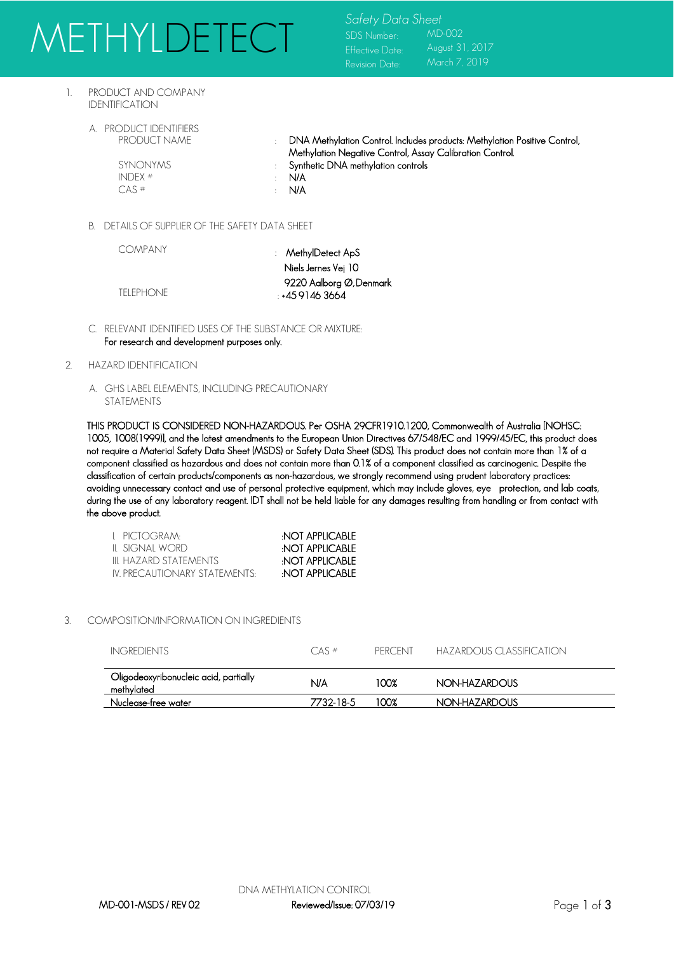# METHYLDETECT Safety Data Sheet

SDS Number: Effective Date: Revision Date: MD-002 August 31, 2017 March 7, 2019

- 1. PRODUCT AND COMPANY IDENTIFICATION
	- A. PRODUCT IDENTIFIERS<br>PRODUCT NAME

: DNA Methylation Control. Includes products: Methylation Positive Control, Methylation Negative Control, Assay Calibration Control.

SYNONYMS : Synthetic DNA methylation controls

INDEX  $#$  : N/A  $CAS$   $\#$   $\cdot$   $N/A$ 

B. DETAILS OF SUPPLIER OF THE SAFETY DATA SHEET

COMPANY

: MethylDetect ApS Niels Jernes Vei 10 9220 Aalborg Ø, Denmark : +45 9146 3664

- TELEPHONE
- C. RELEVANT IDENTIFIED USES OF THE SUBSTANCE OR MIXTURE: For research and development purposes only.
- 2. HAZARD IDENTIFICATION
	- A. GHS LABEL ELEMENTS, INCLUDING PRECAUTIONARY STATEMENTS

THIS PRODUCT IS CONSIDERED NON-HAZARDOUS. Per OSHA 29CFR1910.1200, Commonwealth of Australia [NOHSC: 1005, 1008(1999)], and the latest amendments to the European Union Directives 67/548/EC and 1999/45/EC, this product does not require a Material Safety Data Sheet (MSDS) or Safety Data Sheet (SDS). This product does not contain more than 1% of a component classified as hazardous and does not contain more than 0.1% of a component classified as carcinogenic. Despite the classification of certain products/components as non-hazardous, we strongly recommend using prudent laboratory practices: avoiding unnecessary contact and use of personal protective equipment, which may include gloves, eye protection, and lab coats, during the use of any laboratory reagent. IDT shall not be held liable for any damages resulting from handling or from contact with the above product.

| t pictogram:                  | NOT APPLICABLE        |
|-------------------------------|-----------------------|
| II SIGNAI WORD                | <b>NOT APPLICABLE</b> |
| III HAZARD STATEMENTS         | NOT APPLICABLE        |
| IV PRECALITIONARY STATEMENTS: | NOT APPLICABLE        |

### 3. COMPOSITION/INFORMATION ON INGREDIENTS

| INGREDIENTS                                         | $CAS$ #   | <b>PFRCENT</b> | HAZARDOUS CLASSIFICATION |
|-----------------------------------------------------|-----------|----------------|--------------------------|
| Oligodeoxyribonucleic acid, partially<br>methylated | N/A       | 100%           | NON-HAZARDOUS            |
| Nuclease-free water                                 | 7732-18-5 | 100%           | NON-HAZARDOUS            |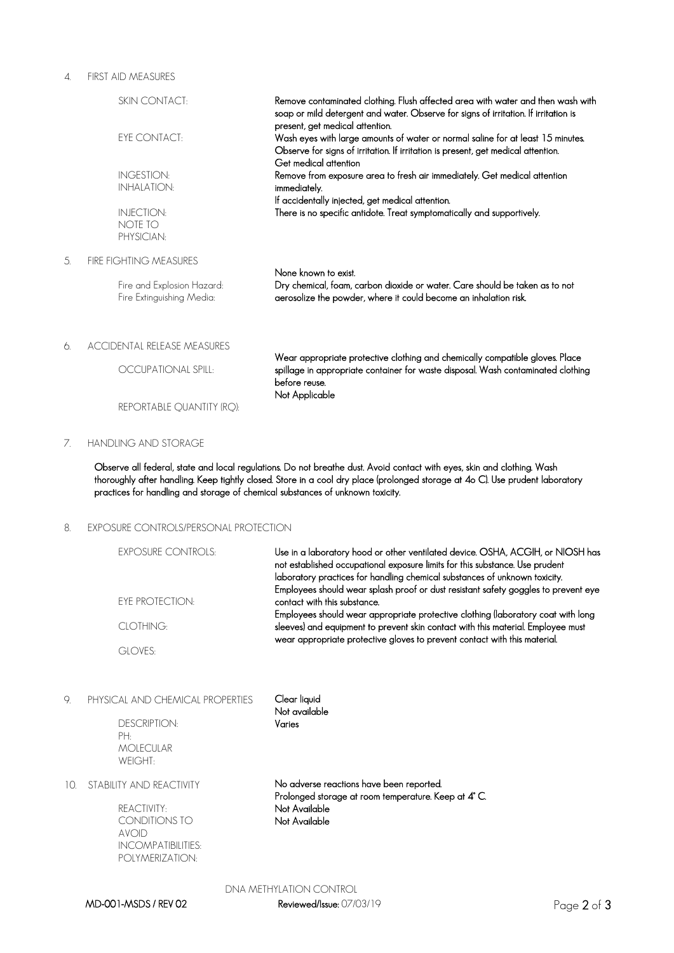#### 4. FIRST AID MEASURES

|    | <b>SKIN CONTACT:</b>                                    | Remove contaminated clothing. Flush affected area with water and then wash with<br>soap or mild detergent and water. Observe for signs of irritation. If irritation is<br>present, get medical attention. |
|----|---------------------------------------------------------|-----------------------------------------------------------------------------------------------------------------------------------------------------------------------------------------------------------|
|    | <b>EYE CONTACT:</b>                                     | Wash eyes with large amounts of water or normal saline for at least 15 minutes.<br>Observe for signs of irritation. If irritation is present, get medical attention.<br>Get medical attention             |
|    | <b>INGESTION:</b>                                       | Remove from exposure area to fresh air immediately. Get medical attention                                                                                                                                 |
|    | <b>INHALATION:</b>                                      | immediately.                                                                                                                                                                                              |
|    | <b>INJECTION:</b>                                       | If accidentally injected, get medical attention.<br>There is no specific antidote. Treat symptomatically and supportively.                                                                                |
|    | NOTE TO                                                 |                                                                                                                                                                                                           |
|    | PHYSICIAN:                                              |                                                                                                                                                                                                           |
| 5. | <b>FIRE FIGHTING MEASURES</b>                           |                                                                                                                                                                                                           |
|    | Fire and Explosion Hazard:<br>Fire Extinguishing Media: | None known to exist.<br>Dry chemical, foam, carbon dioxide or water. Care should be taken as to not<br>aerosolize the powder, where it could become an inhalation risk.                                   |
| 6. | <b>ACCIDENTAL RELEASE MEASURES</b>                      | Wear appropriate protective clothing and chemically compatible gloves. Place                                                                                                                              |
|    | OCCUPATIONAL SPILL:                                     | spillage in appropriate container for waste disposal. Wash contaminated clothing<br>before reuse.<br>Not Applicable                                                                                       |
|    | REPORTABLE QUANTITY (RQ):                               |                                                                                                                                                                                                           |

## 7. HANDLING AND STORAGE

Observe all federal, state and local regulations. Do not breathe dust. Avoid contact with eyes, skin and clothing. Wash thoroughly after handling. Keep tightly closed. Store in a cool dry place (prolonged storage at 4o C). Use prudent laboratory practices for handling and storage of chemical substances of unknown toxicity.

# 8. EXPOSURE CONTROLS/PERSONAL PROTECTION

| <b>EXPOSURE CONTROLS:</b> | Use in a laboratory hood or other ventilated device. OSHA, ACGIH, or NIOSH has<br>not established occupational exposure limits for this substance. Use prudent<br>laboratory practices for handling chemical substances of unknown toxicity.      |
|---------------------------|---------------------------------------------------------------------------------------------------------------------------------------------------------------------------------------------------------------------------------------------------|
| <b>FYF PROTECTION:</b>    | Employees should wear splash proof or dust resistant safety goggles to prevent eye<br>contact with this substance.                                                                                                                                |
| CLOTHING:                 | Employees should wear appropriate protective clothing (laboratory coat with long<br>sleeves) and equipment to prevent skin contact with this material. Employee must<br>wear appropriate protective gloves to prevent contact with this material. |
| GLOVES:                   |                                                                                                                                                                                                                                                   |

9. PHYSICAL AND CHEMICAL PROPERTIES

DESCRIPTION: PH: MOLECULAR WEIGHT:

Clear liquid Not available Varies

10. STABILITY AND REACTIVITY

REACTIVITY: CONDITIONS TO AVOID INCOMPATIBILITIES: POLYMERIZATION:

No adverse reactions have been reported. Prolonged storage at room temperature. Keep at 4° C. Not Available Not Available